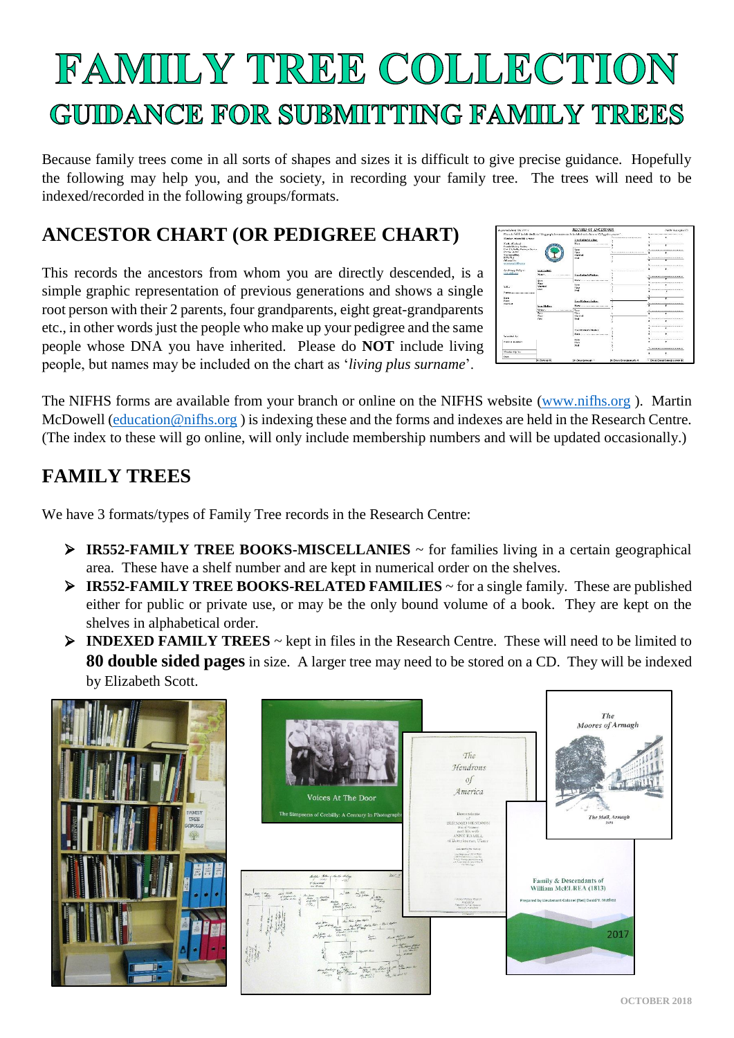# FAMIILY TREE COLLECTION GUIIDANCE FOR SUBMITTING FAMILY TREES

Because family trees come in all sorts of shapes and sizes it is difficult to give precise guidance. Hopefully the following may help you, and the society, in recording your family tree. The trees will need to be indexed/recorded in the following groups/formats.

# **ANCESTOR CHART (OR PEDIGREE CHART)**

This records the ancestors from whom you are directly descended, is a simple graphic representation of previous generations and shows a single root person with their 2 parents, four grandparents, eight great-grandparents etc., in other words just the people who make up your pedigree and the same people whose DNA you have inherited. Please do **NOT** include living people, but names may be included on the chart as '*living plus surname*'.

| hunard Gera are con-c              |               | RECORD OF ANCESTORS                                                                                                |                                   |   | <b>STATE COUNTY</b>                                   |
|------------------------------------|---------------|--------------------------------------------------------------------------------------------------------------------|-----------------------------------|---|-------------------------------------------------------|
|                                    |               | Please do NOT technic directions fixing people, her manner as he technical analysis for an official play concern." |                                   |   | The company of the company of the company of          |
| Montage where this person.         |               | Standard address                                                                                                   | Secretary and the contract of the |   |                                                       |
| <b>North of Inchest</b>            |               | $N_{\rm max}$                                                                                                      |                                   |   | and the process country to the collect                |
| Forth Hitary Society               |               |                                                                                                                    |                                   |   | $\mathbf{r}$                                          |
| For C. Sills Britis Cover          |               | <b>Boxer</b>                                                                                                       |                                   |   | <b>NET REPORT OF A REPORT OF A REPORT OF A REPORT</b> |
| 4174481                            |               | Photo:                                                                                                             | ,,,,,,,,,,,,,,,,,,,,,,,,,,,       |   | $\overline{\phantom{a}}$                              |
| Nextenessblan.<br><b>BTM 718</b>   |               | <b>Mardet</b><br>Print,                                                                                            |                                   |   | The discussion of the property continues are a st     |
| Officeral in-                      |               |                                                                                                                    |                                   |   |                                                       |
| wenterpartikers:                   |               |                                                                                                                    |                                   |   |                                                       |
|                                    |               |                                                                                                                    |                                   |   | <u>Airmentalement</u>                                 |
| Schema Adam                        | Verritoines   |                                                                                                                    | <b>CONTRACTOR</b><br>x<br>        | ٠ |                                                       |
| <b>TERMONIANA</b>                  |               | Sun Labora Nation                                                                                                  |                                   |   |                                                       |
|                                    |               |                                                                                                                    |                                   |   | No compared a books on a series and of                |
|                                    | Kerk.         | NYM                                                                                                                |                                   |   |                                                       |
|                                    | <b>Flash</b>  | <b>Box</b>                                                                                                         |                                   |   | Se concerta de cinea de concerta de concerta<br>٠     |
| 335.0                              | <b>Marmed</b> | <b>No</b>                                                                                                          |                                   |   |                                                       |
|                                    | Das.          | <b>Died</b>                                                                                                        |                                   |   | Se a posterior a portarior e posterior e esta<br>×.   |
| <b>Pont</b> formation construction |               |                                                                                                                    |                                   |   |                                                       |
| <b>Kars</b>                        |               | <b>CONTRACTOR</b>                                                                                                  |                                   |   |                                                       |
| Phone:                             |               | Sam Nathers Eather                                                                                                 |                                   |   |                                                       |
| <b>Allers of</b>                   | Vest Mother   |                                                                                                                    |                                   |   |                                                       |
|                                    |               | Sec.                                                                                                               |                                   |   |                                                       |
|                                    | ᠊             | <b>Water</b>                                                                                                       |                                   |   | $\overline{\phantom{a}}$                              |
|                                    | <b>Photo</b>  | Marshall                                                                                                           |                                   |   |                                                       |
|                                    | Died.         | DVA                                                                                                                |                                   |   | No interesting the complete state that the complete   |
|                                    |               | <b>DOMESTIC: CONTRACT</b>                                                                                          |                                   |   |                                                       |
|                                    |               |                                                                                                                    |                                   |   | and and Prop announced                                |
|                                    |               | Your Matter's Heiter                                                                                               |                                   |   |                                                       |
|                                    |               | PLEASE and a construction of the PLEASE COMPANY OF                                                                 |                                   |   | Concerning in the Children and                        |
| Souther by                         |               |                                                                                                                    |                                   |   |                                                       |
| Santal market                      |               | None.                                                                                                              |                                   |   |                                                       |
|                                    |               | <b>Pham</b><br>18.4                                                                                                |                                   |   |                                                       |
|                                    |               |                                                                                                                    |                                   |   | No experience experiences and except                  |
| Made die Vo                        |               |                                                                                                                    |                                   |   |                                                       |
| Dans.                              |               |                                                                                                                    |                                   |   |                                                       |
|                                    | In Partner of | A Grangerouts ^                                                                                                    | le Gross Grandhamado e            |   | <sup>1</sup> Grup Great Grandcurence 4                |

The NIFHS forms are available from your branch or online on the NIFHS website [\(www.nifhs.org](http://www.nifhs.org/) ). Martin McDowell [\(education@nifhs.org](mailto:education@nifhs.org) ) is indexing these and the forms and indexes are held in the Research Centre. (The index to these will go online, will only include membership numbers and will be updated occasionally.)

## **FAMILY TREES**

We have 3 formats/types of Family Tree records in the Research Centre:

- ➢ **IR552-FAMILY TREE BOOKS-MISCELLANIES** ~ for families living in a certain geographical area. These have a shelf number and are kept in numerical order on the shelves.
- ➢ **IR552-FAMILY TREE BOOKS-RELATED FAMILIES** ~ for a single family. These are published either for public or private use, or may be the only bound volume of a book. They are kept on the shelves in alphabetical order.
- ➢ **INDEXED FAMILY TREES** ~ kept in files in the Research Centre. These will need to be limited to **80 double sided pages** in size. A larger tree may need to be stored on a CD. They will be indexed by Elizabeth Scott.